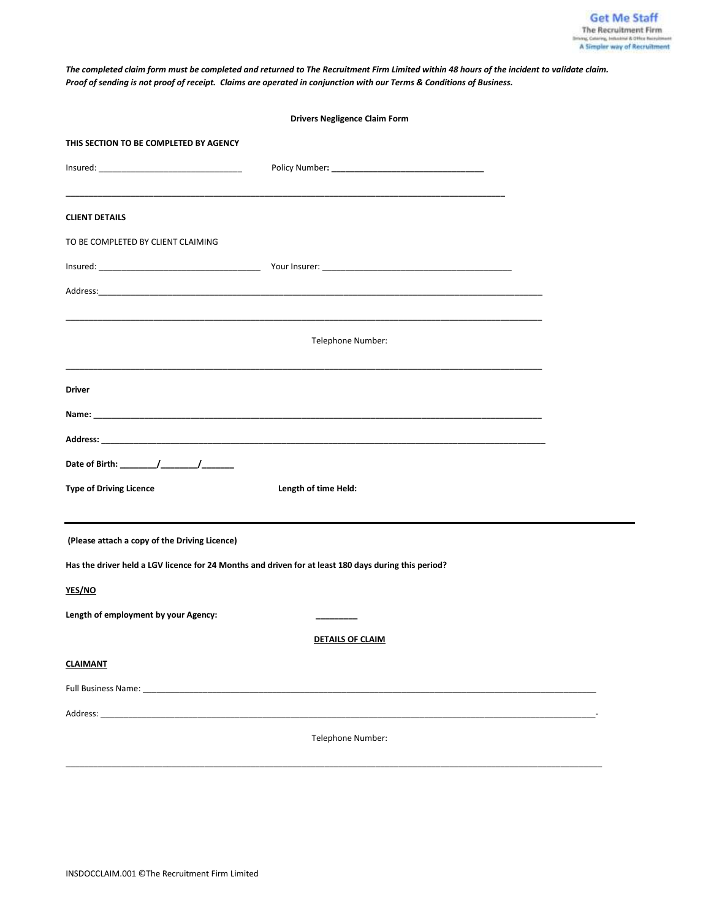*The completed claim form must be completed and returned to The Recruitment Firm Limited within 48 hours of the incident to validate claim. Proof of sending is not proof of receipt. Claims are operated in conjunction with our Terms & Conditions of Business.*

| <b>Drivers Negligence Claim Form</b>                                                                 |                         |  |  |  |  |  |
|------------------------------------------------------------------------------------------------------|-------------------------|--|--|--|--|--|
| THIS SECTION TO BE COMPLETED BY AGENCY                                                               |                         |  |  |  |  |  |
|                                                                                                      |                         |  |  |  |  |  |
|                                                                                                      |                         |  |  |  |  |  |
| <b>CLIENT DETAILS</b>                                                                                |                         |  |  |  |  |  |
| TO BE COMPLETED BY CLIENT CLAIMING                                                                   |                         |  |  |  |  |  |
|                                                                                                      |                         |  |  |  |  |  |
|                                                                                                      |                         |  |  |  |  |  |
|                                                                                                      | Telephone Number:       |  |  |  |  |  |
| Driver                                                                                               |                         |  |  |  |  |  |
|                                                                                                      |                         |  |  |  |  |  |
|                                                                                                      |                         |  |  |  |  |  |
|                                                                                                      |                         |  |  |  |  |  |
| <b>Type of Driving Licence</b>                                                                       | Length of time Held:    |  |  |  |  |  |
| (Please attach a copy of the Driving Licence)                                                        |                         |  |  |  |  |  |
| Has the driver held a LGV licence for 24 Months and driven for at least 180 days during this period? |                         |  |  |  |  |  |
| YES/NO                                                                                               |                         |  |  |  |  |  |
| Length of employment by your Agency:                                                                 |                         |  |  |  |  |  |
|                                                                                                      | <b>DETAILS OF CLAIM</b> |  |  |  |  |  |
| <b>CLAIMANT</b>                                                                                      |                         |  |  |  |  |  |
|                                                                                                      |                         |  |  |  |  |  |
|                                                                                                      |                         |  |  |  |  |  |
|                                                                                                      | Telephone Number:       |  |  |  |  |  |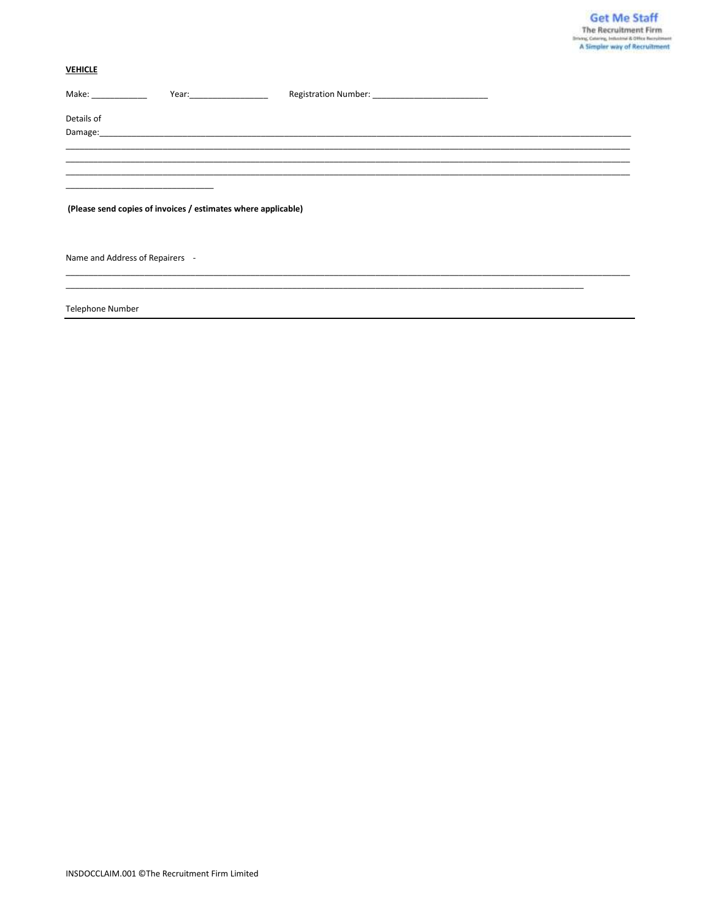# **VEHICLE**

| Make: and the state of the state of the state of the state of the state of the state of the state of the state of the state of the state of the state of the state of the state of the state of the state of the state of the | Year: The contract of the contract of the contract of the contract of the contract of the contract of the contract of the contract of the contract of the contract of the contract of the contract of the contract of the cont |  |  |  |  |
|-------------------------------------------------------------------------------------------------------------------------------------------------------------------------------------------------------------------------------|--------------------------------------------------------------------------------------------------------------------------------------------------------------------------------------------------------------------------------|--|--|--|--|
| Details of                                                                                                                                                                                                                    |                                                                                                                                                                                                                                |  |  |  |  |
|                                                                                                                                                                                                                               |                                                                                                                                                                                                                                |  |  |  |  |
|                                                                                                                                                                                                                               |                                                                                                                                                                                                                                |  |  |  |  |
|                                                                                                                                                                                                                               |                                                                                                                                                                                                                                |  |  |  |  |
|                                                                                                                                                                                                                               |                                                                                                                                                                                                                                |  |  |  |  |
|                                                                                                                                                                                                                               |                                                                                                                                                                                                                                |  |  |  |  |
|                                                                                                                                                                                                                               |                                                                                                                                                                                                                                |  |  |  |  |
|                                                                                                                                                                                                                               |                                                                                                                                                                                                                                |  |  |  |  |
|                                                                                                                                                                                                                               | (Please send copies of invoices / estimates where applicable)                                                                                                                                                                  |  |  |  |  |
|                                                                                                                                                                                                                               |                                                                                                                                                                                                                                |  |  |  |  |
|                                                                                                                                                                                                                               |                                                                                                                                                                                                                                |  |  |  |  |
|                                                                                                                                                                                                                               |                                                                                                                                                                                                                                |  |  |  |  |
|                                                                                                                                                                                                                               |                                                                                                                                                                                                                                |  |  |  |  |
| Name and Address of Repairers -                                                                                                                                                                                               |                                                                                                                                                                                                                                |  |  |  |  |
|                                                                                                                                                                                                                               |                                                                                                                                                                                                                                |  |  |  |  |
|                                                                                                                                                                                                                               |                                                                                                                                                                                                                                |  |  |  |  |
|                                                                                                                                                                                                                               |                                                                                                                                                                                                                                |  |  |  |  |

**Telephone Number**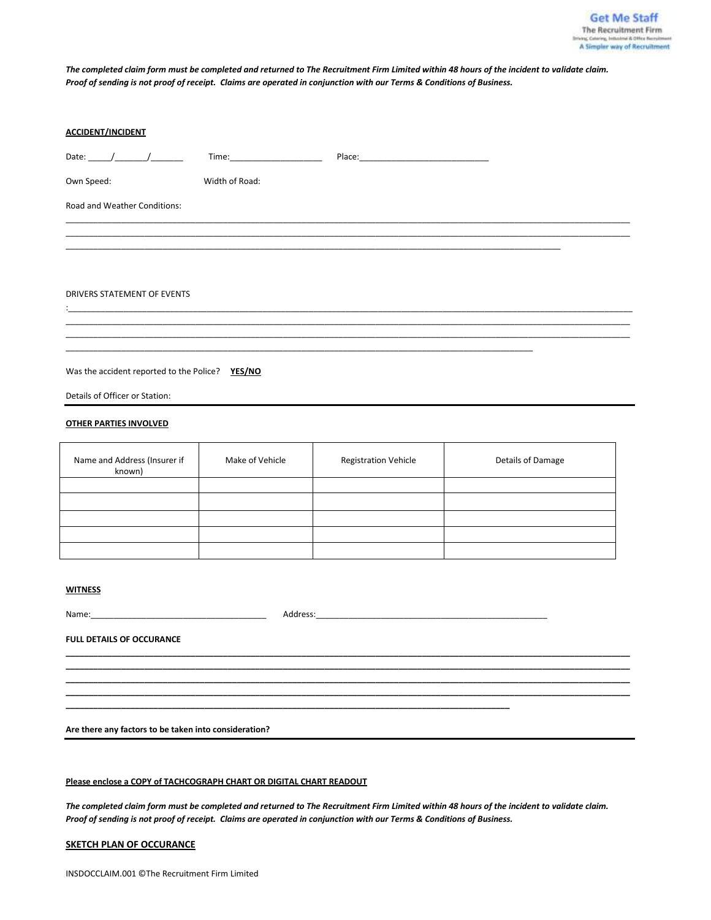*The completed claim form must be completed and returned to The Recruitment Firm Limited within 48 hours of the incident to validate claim. Proof of sending is not proof of receipt. Claims are operated in conjunction with our Terms & Conditions of Business.*

| <b>ACCIDENT/INCIDENT</b>                        |                 |                             |                   |  |  |  |
|-------------------------------------------------|-----------------|-----------------------------|-------------------|--|--|--|
|                                                 |                 |                             |                   |  |  |  |
| Own Speed:                                      | Width of Road:  |                             |                   |  |  |  |
| Road and Weather Conditions:                    |                 |                             |                   |  |  |  |
|                                                 |                 |                             |                   |  |  |  |
|                                                 |                 |                             |                   |  |  |  |
|                                                 |                 |                             |                   |  |  |  |
| DRIVERS STATEMENT OF EVENTS                     |                 |                             |                   |  |  |  |
|                                                 |                 |                             |                   |  |  |  |
|                                                 |                 |                             |                   |  |  |  |
| Was the accident reported to the Police? YES/NO |                 |                             |                   |  |  |  |
| Details of Officer or Station:                  |                 |                             |                   |  |  |  |
| <b>OTHER PARTIES INVOLVED</b>                   |                 |                             |                   |  |  |  |
| Name and Address (Insurer if<br>known)          | Make of Vehicle | <b>Registration Vehicle</b> | Details of Damage |  |  |  |
|                                                 |                 |                             |                   |  |  |  |
|                                                 |                 |                             |                   |  |  |  |

#### **WITNESS**

| Name:<br><u> 1980 - Jan Barbara Barbara, manazarta da kasas da kasas da kasas da kasas da kasas da kasas da kasas da kasa</u> | Address: |  |
|-------------------------------------------------------------------------------------------------------------------------------|----------|--|
| <b>FULL DETAILS OF OCCURANCE</b>                                                                                              |          |  |
|                                                                                                                               |          |  |
|                                                                                                                               |          |  |

**\_\_\_\_\_\_\_\_\_\_\_\_\_\_\_\_\_\_\_\_\_\_\_\_\_\_\_\_\_\_\_\_\_\_\_\_\_\_\_\_\_\_\_\_\_\_\_\_\_\_\_\_\_\_\_\_\_\_\_\_\_\_\_\_\_\_\_\_\_\_\_\_\_\_\_\_\_\_\_\_\_\_\_\_\_\_\_\_\_\_\_\_\_\_\_\_**

**Are there any factors to be taken into consideration?**

#### **Please enclose a COPY of TACHCOGRAPH CHART OR DIGITAL CHART READOUT**

*The completed claim form must be completed and returned to The Recruitment Firm Limited within 48 hours of the incident to validate claim. Proof of sending is not proof of receipt. Claims are operated in conjunction with our Terms & Conditions of Business.*

### **SKETCH PLAN OF OCCURANCE**